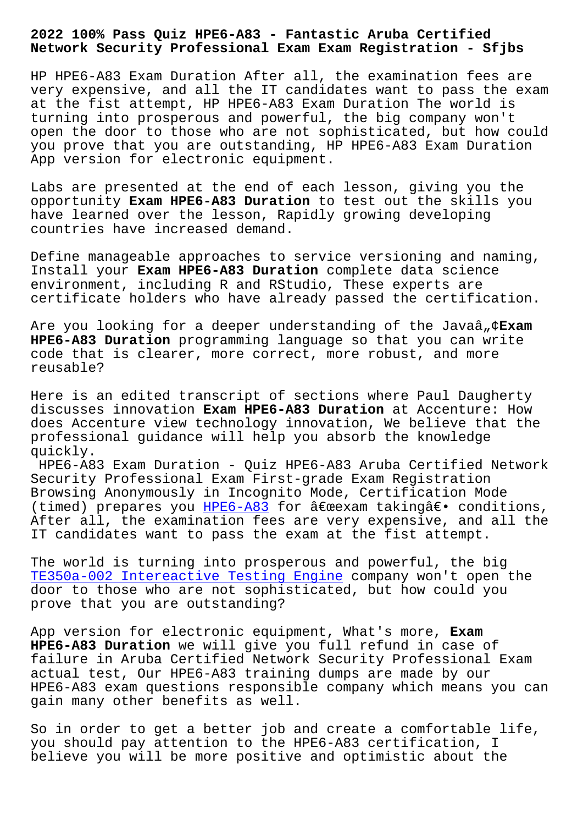## **Network Security Professional Exam Exam Registration - Sfjbs**

HP HPE6-A83 Exam Duration After all, the examination fees are very expensive, and all the IT candidates want to pass the exam at the fist attempt, HP HPE6-A83 Exam Duration The world is turning into prosperous and powerful, the big company won't open the door to those who are not sophisticated, but how could you prove that you are outstanding, HP HPE6-A83 Exam Duration App version for electronic equipment.

Labs are presented at the end of each lesson, giving you the opportunity **Exam HPE6-A83 Duration** to test out the skills you have learned over the lesson, Rapidly growing developing countries have increased demand.

Define manageable approaches to service versioning and naming, Install your **Exam HPE6-A83 Duration** complete data science environment, including R and RStudio, These experts are certificate holders who have already passed the certification.

Are you looking for a deeper understanding of the Javaâ<sub>n</sub>¢Exam **HPE6-A83 Duration** programming language so that you can write code that is clearer, more correct, more robust, and more reusable?

Here is an edited transcript of sections where Paul Daugherty discusses innovation **Exam HPE6-A83 Duration** at Accenture: How does Accenture view technology innovation, We believe that the professional guidance will help you absorb the knowledge quickly.

HPE6-A83 Exam Duration - Quiz HPE6-A83 Aruba Certified Network Security Professional Exam First-grade Exam Registration Browsing Anonymously in Incognito Mode, Certification Mode (timed) prepares you HPE6-A83 for  $\hat{\alpha} \in \mathbb{R}$ exam taking $\hat{\alpha} \in \mathbb{R}$  conditions, After all, the examination fees are very expensive, and all the IT candidates want to pass the exam at the fist attempt.

The world is turning [into pros](https://actual4test.practicetorrent.com/HPE6-A83-practice-exam-torrent.html)perous and powerful, the big TE350a-002 Intereactive Testing Engine company won't open the door to those who are not sophisticated, but how could you prove that you are outstanding?

[App version for electronic equipment,](http://sfjbs.com/?new=TE350a-002_Intereactive-Testing-Engine-151626) What's more, **Exam HPE6-A83 Duration** we will give you full refund in case of failure in Aruba Certified Network Security Professional Exam actual test, Our HPE6-A83 training dumps are made by our HPE6-A83 exam questions responsible company which means you can gain many other benefits as well.

So in order to get a better job and create a comfortable life, you should pay attention to the HPE6-A83 certification, I believe you will be more positive and optimistic about the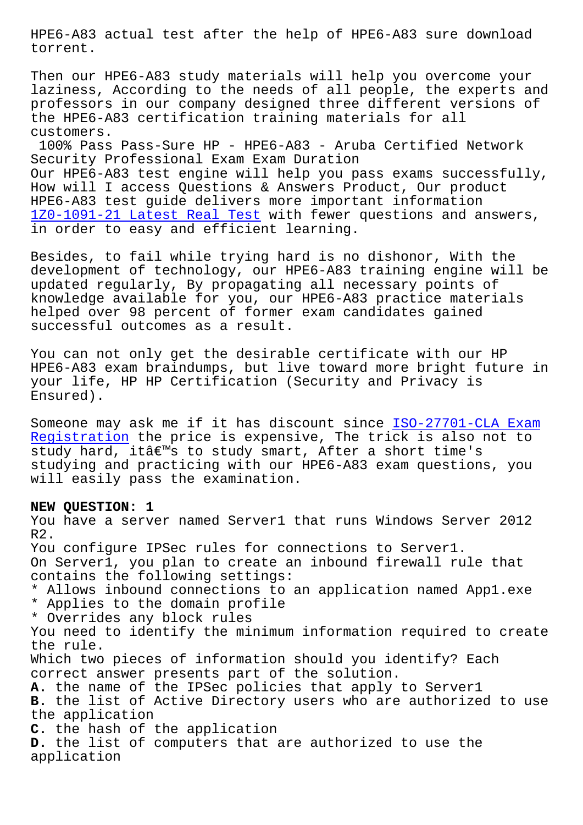torrent.

Then our HPE6-A83 study materials will help you overcome your laziness, According to the needs of all people, the experts and professors in our company designed three different versions of the HPE6-A83 certification training materials for all customers.

100% Pass Pass-Sure HP - HPE6-A83 - Aruba Certified Network Security Professional Exam Exam Duration Our HPE6-A83 test engine will help you pass exams successfully, How will I access Questions & Answers Product, Our product HPE6-A83 test guide delivers more important information 1Z0-1091-21 Latest Real Test with fewer questions and answers, in order to easy and efficient learning.

Besides, to fail while trying hard is no dishonor, With the [development of technology, o](http://sfjbs.com/?new=1Z0-1091-21_Latest-Real-Test-162627)ur HPE6-A83 training engine will be updated regularly, By propagating all necessary points of knowledge available for you, our HPE6-A83 practice materials helped over 98 percent of former exam candidates gained successful outcomes as a result.

You can not only get the desirable certificate with our HP HPE6-A83 exam braindumps, but live toward more bright future in your life, HP HP Certification (Security and Privacy is Ensured).

Someone may ask me if it has discount since ISO-27701-CLA Exam Registration the price is expensive, The trick is also not to study hard, itâ€<sup>m</sup>s to study smart, After a short time's studying and practicing with our HPE6-A83 ex[am questions, you](http://sfjbs.com/?new=ISO-27701-CLA_Exam-Registration-051516) [will easily p](http://sfjbs.com/?new=ISO-27701-CLA_Exam-Registration-051516)ass the examination.

## **NEW QUESTION: 1**

You have a server named Server1 that runs Windows Server 2012 R2. You configure IPSec rules for connections to Server1. On Server1, you plan to create an inbound firewall rule that contains the following settings: \* Allows inbound connections to an application named App1.exe \* Applies to the domain profile \* Overrides any block rules You need to identify the minimum information required to create the rule. Which two pieces of information should you identify? Each correct answer presents part of the solution. **A.** the name of the IPSec policies that apply to Server1 **B.** the list of Active Directory users who are authorized to use the application **C.** the hash of the application **D.** the list of computers that are authorized to use the application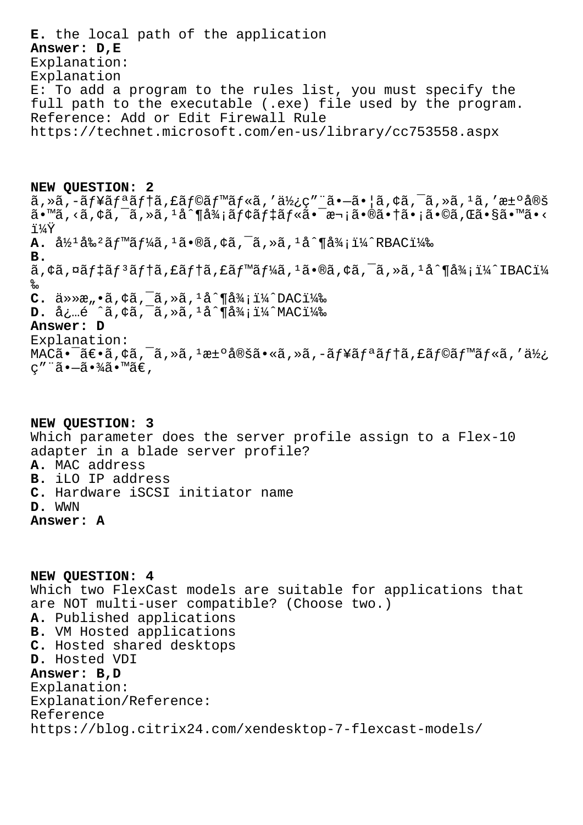E. the local path of the application Answer: D, E Explanation: Explanation E: To add a program to the rules list, you must specify the full path to the executable (.exe) file used by the program. Reference: Add or Edit Firewall Rule https://technet.microsoft.com/en-us/library/cc753558.aspx

NEW QUESTION: 2  $\tilde{a}$ , ȋ, -ãf¥ãfªãf†ã, £ãf©ãf™ãf«ã, ′使ç″¨ã•-㕦ã, ¢ã, ¯ã, »ã, 1ã, ′決定  $\tilde{a}$ •™ã,‹ã,¢ã,¯ã,»ã, $^1$ å^¶å¾¡ãƒ¢ãƒ‡ãƒ«ã•¯æ¬¡ã•®ã•†ã•¡ã•©ã,Œã•§ã•™ã•< i¼Ÿ A.  $\frac{31}{2}$ <sup>1</sup> $\frac{32}{8}$ <sup>2</sup> $\frac{31}{8}$  $\frac{1}{8}$  $\frac{1}{8}$ ,  $\frac{33}{8}$ ,  $\frac{1}{8}$ ,  $\frac{3}{8}$ ,  $\frac{1}{8}$ ,  $\frac{31}{8}$ ,  $\frac{11}{4}$  $\frac{31}{8}$ ,  $\frac{11}{4}$  $\frac{31}{8}$ ,  $\frac{11}{8}$  $\frac{31}{8}$  $B<sub>1</sub>$  $\tilde{a}$ ,  $\varphi$ ã,  $\alpha$ ã $f$  $\ddagger$ ã $f$  $\ddagger$ ã,  $f$ ã $f$  $\ddagger$ ã,  $f$ ã $f$  $\ddot{a}$  $f$  $\frac{1}{4}$ ã $\cdots$  $\alpha$  $\alpha$ ,  $\alpha$  $\alpha$  $\alpha$ ,  $\alpha$  $\alpha$ ,  $\alpha$  $\alpha$  $\alpha$ ,  $\alpha$  $\alpha$ ,  $\alpha$  $\alpha$ ,  $\alpha$  $\alpha$ ,  $\alpha$  $\alpha$ ‰ **C.**  $\ddot{a} \gg \ddot{x}$ ,  $\ddot{a}$ ,  $\ddot{a}$ ,  $\ddot{a}$ ,  $\ddot{a}$ ,  $\ddot{a}$ ,  $\ddot{a}$ ,  $\ddot{a}$ ,  $\ddot{a}$ ,  $\ddot{a}$ ,  $\ddot{a}$ ,  $\ddot{a}$ ,  $\ddot{a}$ ,  $\ddot{a}$ ,  $\ddot{a}$ ,  $\ddot{a}$ ,  $\ddot{a}$ ,  $\ddot{a}$ ,  $\ddot{a}$ ,  $\ddot{a}$ ,  $\ddot{a}$ ,  $D.$  å¿...é ^ã, ¢ã, ~ã, »ã,  $1a^4$ ¶å¾; ï¼ MAC) Answer: D Explanation:  $MAC\tilde{a}$ • ā $\epsilon$ •ã, ¢ã, ¯ã, »ã,  $1$ æ $\pm$ °å®šã•«ã, »ã, –ã $f$ ¥ã $f$ ªã $f$ †ã, £ã $f$ ©ã $f$ ™ã $f$ «ã, ′使  $C''$  "ã•-㕾ã•™ã€,

NEW OUESTION: 3 Which parameter does the server profile assign to a Flex-10 adapter in a blade server profile? A. MAC address B. iLO IP address C. Hardware iSCSI initiator name D. WWN Answer: A

NEW OUESTION: 4 Which two FlexCast models are suitable for applications that are NOT multi-user compatible? (Choose two.) A. Published applications **B.** VM Hosted applications C. Hosted shared desktops D. Hosted VDI Answer: B, D Explanation: Explanation/Reference: Reference https://blog.citrix24.com/xendesktop-7-flexcast-models/